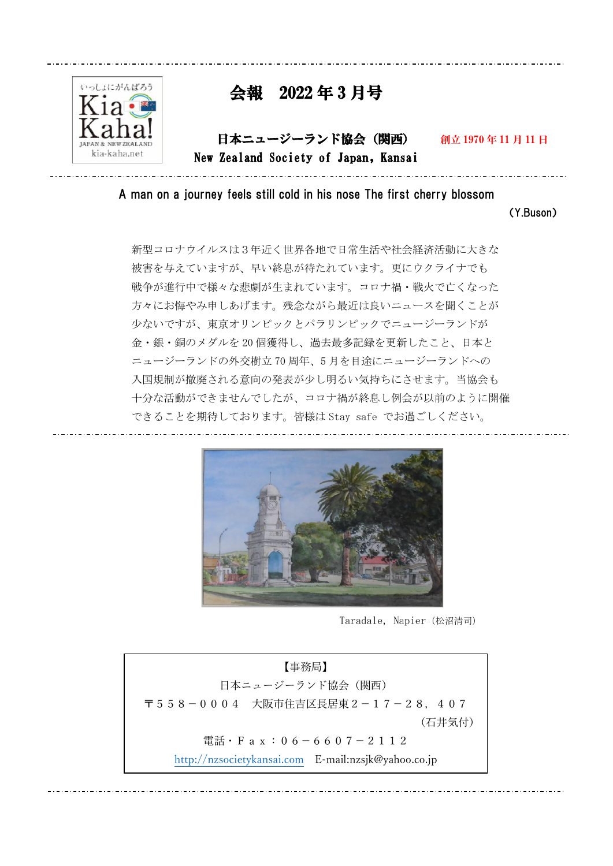

# 会報 2022 年 3 月号

日本ニュージーランド協会(関西) 創立 1970 年 11 月 11 日 New Zealand Society of Japan, Kansai

 $\ddot{\phantom{1}}$ A man on a journey feels still cold in his nose The first cherry blossom

(Y.Buson)

新型コロナウイルスは3年近く世界各地で日常生活や社会経済活動に大きな 被害を与えていますが、早い終息が待たれています。更にウクライナでも 戦争が進行中で様々な悲劇が生まれています。コロナ禍・戦火で亡くなった 方々にお悔やみ申しあげます。残念ながら最近は良いニュースを聞くことが 少ないですが、東京オリンピックとパラリンピックでニュージーランドが 金・銀・銅のメダルを 20 個獲得し、過去最多記録を更新したこと、日本と ニュージーランドの外交樹立 70 周年、5 月を目途にニュージーランドへの 入国規制が撤廃される意向の発表が少し明るい気持ちにさせます。当協会も 十分な活動ができませんでしたが、コロナ禍が終息し例会が以前のように開催 できることを期待しております。皆様は Stay safe でお過ごしください。



Taradale, Napier(松沼清司)

【事務局】 日本ニュージーランド協会(関西) 〒558-0004 大阪市住吉区長居東2-17-28,407 (石井気付) 電話・Fax:06-6607-2112 [http://nzsocietykansai.com](http://nzsocietykansai.com/) E-mail:nzsjk@yahoo.co.jp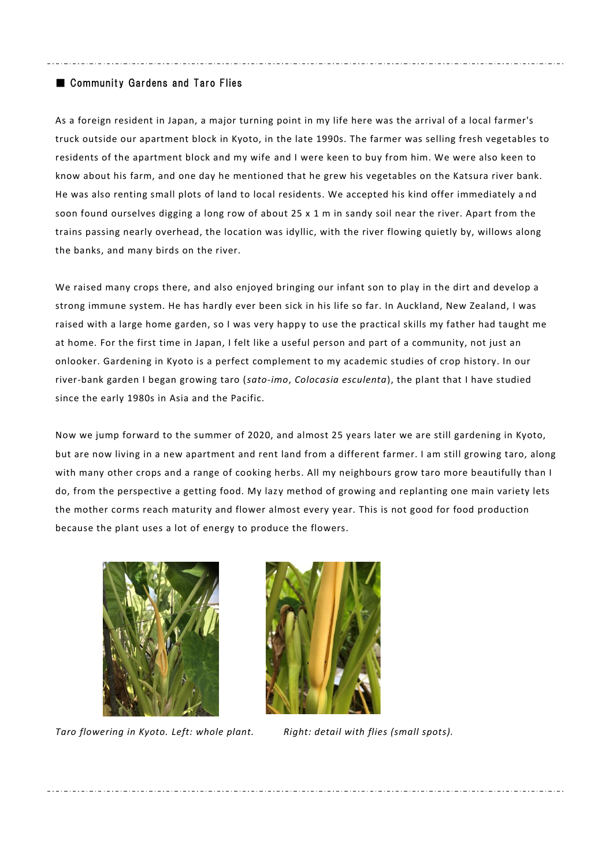# ■ Community Gardens and Taro Flies

As a foreign resident in Japan, a major turning point in my life here was the arrival of a local farmer's truck outside our apartment block in Kyoto, in the late 1990s. The farmer was selling fresh vegetables to residents of the apartment block and my wife and I were keen to buy from him. We were also keen to know about his farm, and one day he mentioned that he grew his vegetables on the Katsura river bank. He was also renting small plots of land to local residents. We accepted his kind offer immediately a nd soon found ourselves digging a long row of about 25 x 1 m in sandy soil near the river. Apart from the trains passing nearly overhead, the location was idyllic, with the river flowing quietly by, willows along the banks, and many birds on the river.

We raised many crops there, and also enjoyed bringing our infant son to play in the dirt and develop a strong immune system. He has hardly ever been sick in his life so far. In Auckland, New Zealand, I was raised with a large home garden, so I was very happy to use the practical skills my father had taught me at home. For the first time in Japan, I felt like a useful person and part of a community, not just an onlooker. Gardening in Kyoto is a perfect complement to my academic studies of crop history. In our river-bank garden I began growing taro (*sato-imo*, *Colocasia esculenta*), the plant that I have studied since the early 1980s in Asia and the Pacific.

Now we jump forward to the summer of 2020, and almost 25 years later we are still gardening in Kyoto, but are now living in a new apartment and rent land from a different farmer. I am still growing taro, along with many other crops and a range of cooking herbs. All my neighbours grow taro more beautifully than I do, from the perspective a getting food. My lazy method of growing and replanting one main variety lets the mother corms reach maturity and flower almost every year. This is not good for food production because the plant uses a lot of energy to produce the flowers.



*Taro flowering in Kyoto. Left: whole plant. Right: detail with flies (small spots).*

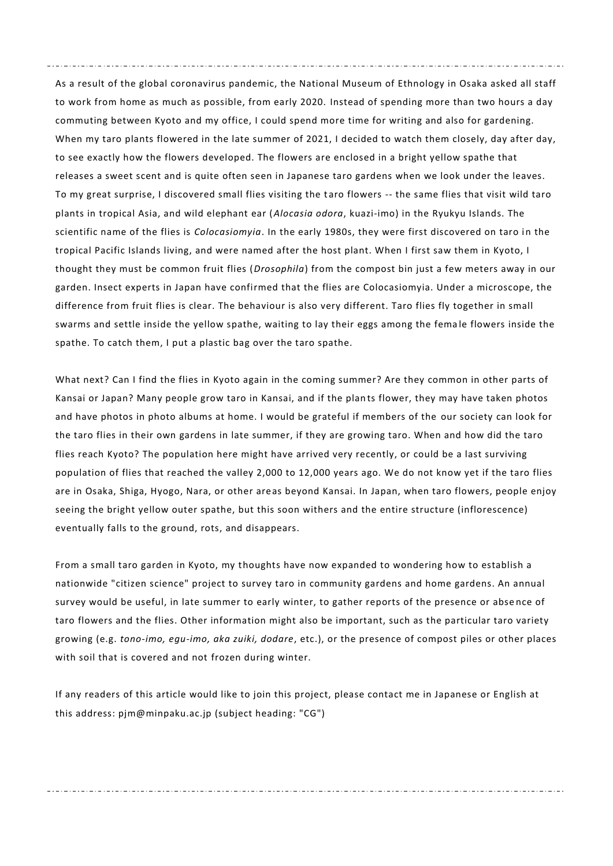As a result of the global coronavirus pandemic, the National Museum of Ethnology in Osaka asked all staff to work from home as much as possible, from early 2020. Instead of spending more than two hours a day commuting between Kyoto and my office, I could spend more time for writing and also for gardening. When my taro plants flowered in the late summer of 2021, I decided to watch them closely, day after day, to see exactly how the flowers developed. The flowers are enclosed in a bright yellow spathe that releases a sweet scent and is quite often seen in Japanese taro gardens when we look under the leaves. To my great surprise, I discovered small flies visiting the t aro flowers -- the same flies that visit wild taro plants in tropical Asia, and wild elephant ear (*Alocasia odora*, kuazi-imo) in the Ryukyu Islands. The scientific name of the flies is *Colocasiomyia*. In the early 1980s, they were first discovered on taro in the tropical Pacific Islands living, and were named after the host plant. When I first saw them in Kyoto, I thought they must be common fruit flies (*Drosophila*) from the compost bin just a few meters away in our garden. Insect experts in Japan have confirmed that the flies are Colocasiomyia. Under a microscope, the difference from fruit flies is clear. The behaviour is also very different. Taro flies fly together in small swarms and settle inside the yellow spathe, waiting to lay their eggs among the fema le flowers inside the spathe. To catch them, I put a plastic bag over the taro spathe.

What next? Can I find the flies in Kyoto again in the coming summer? Are they common in other parts of Kansai or Japan? Many people grow taro in Kansai, and if the plan ts flower, they may have taken photos and have photos in photo albums at home. I would be grateful if members of the our society can look for the taro flies in their own gardens in late summer, if they are growing taro. When and how did the taro flies reach Kyoto? The population here might have arrived very recently, or could be a last surviving population of flies that reached the valley 2,000 to 12,000 years ago. We do not know yet if the taro flies are in Osaka, Shiga, Hyogo, Nara, or other areas beyond Kansai. In Japan, when taro flowers, people enjoy seeing the bright yellow outer spathe, but this soon withers and the entire structure (inflorescence) eventually falls to the ground, rots, and disappears.

From a small taro garden in Kyoto, my thoughts have now expanded to wondering how to establish a nationwide "citizen science" project to survey taro in community gardens and home gardens. An annual survey would be useful, in late summer to early winter, to gather reports of the presence or abse nce of taro flowers and the flies. Other information might also be important, such as the particular taro variety growing (e.g. *tono-imo, egu-imo, aka zuiki, dodare*, etc.), or the presence of compost piles or other places with soil that is covered and not frozen during winter.

If any readers of this article would like to join this project, please contact me in Japanese or English at this address: pjm@minpaku.ac.jp (subject heading: "CG")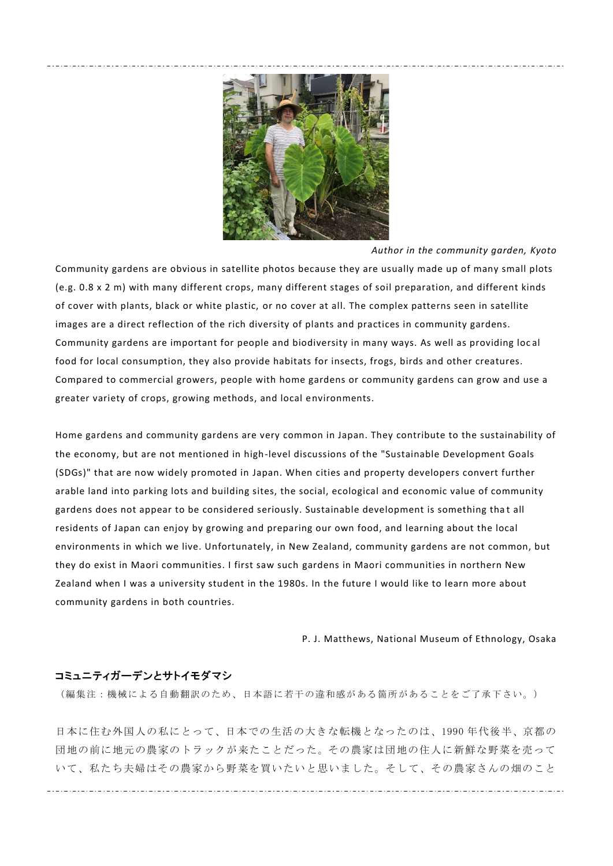

*Author in the community garden, Kyoto*

Community gardens are obvious in satellite photos because they are usually made up of many small plots (e.g. 0.8 x 2 m) with many different crops, many different stages of soil preparation, and different kinds of cover with plants, black or white plastic, or no cover at all. The complex patterns seen in satellite images are a direct reflection of the rich diversity of plants and practices in community gardens. Community gardens are important for people and biodiversity in many ways. As well as providing loc al food for local consumption, they also provide habitats for insects, frogs, birds and other creatures. Compared to commercial growers, people with home gardens or community gardens can grow and use a greater variety of crops, growing methods, and local environments.

Home gardens and community gardens are very common in Japan. They contribute to the sustainability of the economy, but are not mentioned in high-level discussions of the "Sustainable Development Goals (SDGs)" that are now widely promoted in Japan. When cities and property developers convert further arable land into parking lots and building sites, the social, ecological and economic value of community gardens does not appear to be considered seriously. Sustainable development is something that all residents of Japan can enjoy by growing and preparing our own food, and learning about the local environments in which we live. Unfortunately, in New Zealand, community gardens are not common, but they do exist in Maori communities. I first saw such gardens in Maori communities in northern New Zealand when I was a university student in the 1980s. In the future I would like to learn more about community gardens in both countries.

P. J. Matthews, National Museum of Ethnology, Osaka

# コミュニティガーデンとサトイモダマシ

(編集注:機械による自動翻訳のため、日本語に若干の違和感がある箇所があることをご了承下さい。)

日本に住む外国人の私にとって、日本での生活の大きな転機となったのは、1990 年代後半、京都の 団地の前に地元の農家のトラックが来たことだった。その農家は団地の住人に新鮮な野菜を売って いて、私たち夫婦はその農家から野菜を買いたいと思いました。そして、その農家さんの畑のこと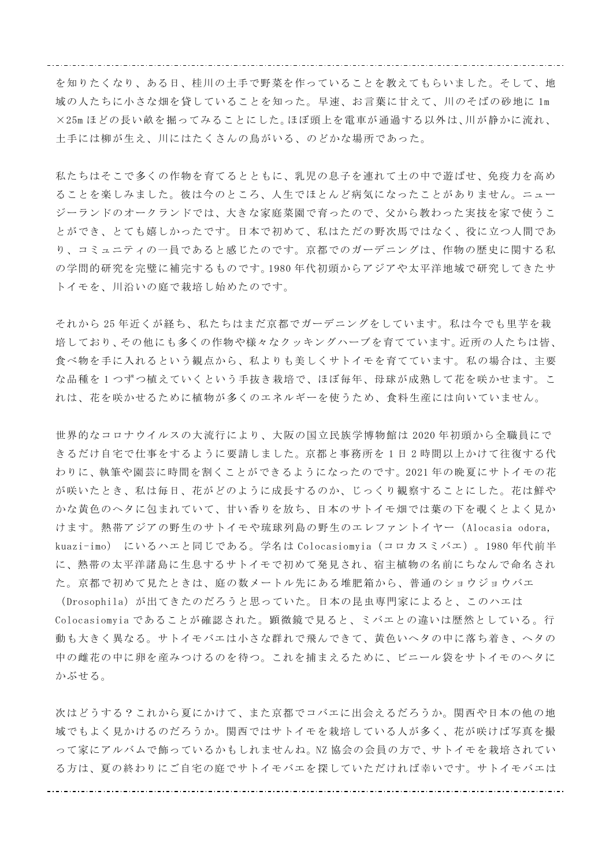を知りたくなり、ある日、桂川の土手で野菜を作っていることを教えてもらいました。そして、地 域の人たちに小さな畑を貸していることを知った。早速、お言葉に甘えて、川のそばの砂地に 1m ×25m ほどの長い畝を掘ってみることにした。ほぼ頭上を電車が通過する以外は、川が静かに流れ、 土手には柳が生え、川にはたくさんの鳥がいる、のどかな場所であった。

私たちはそこで多くの作物を育てるとともに、乳児の息子を連れて土の中で遊ばせ、免疫力を高め ることを楽しみました。彼は今のところ、人生でほとんど病気になったことがありません。ニュー ジーランドのオークランドでは、大きな家庭菜園で育ったので、父から教わった実技を家で使うこ とができ、とても嬉しかったです。日本で初めて、私はただの野次馬ではなく、役に立つ人間であ り、コミュニティの一員であると感じたのです。京都でのガーデニングは、作物の歴史に関する私 の学問的研究を完璧に補完するものです。1980 年代初頭からアジアや太平洋地域で研究してきたサ トイモを、川沿いの庭で栽培し始めたのです。

それから 25 年近くが経ち、私たちはまだ京都でガーデニングをしています。私は今でも里芋を栽 培しており、その他にも多くの作物や様々なクッキングハーブを育てています。近所の人たちは皆、 食べ物を手に入れるという観点から、私よりも美しくサトイモを育てています。私の場合は、主要 な品種を 1 つずつ植えていくという手抜き栽培で、ほぼ毎年、母球が成熟して花を咲かせます。こ れは、花を咲かせるために植物が多くのエネルギーを使うため、食料生産には向いていません。

世界的なコロナウイルスの大流行により、大阪の国立民族学博物館は 2020 年初頭から全職員にで きるだけ自宅で仕事をするように要請しました。京都と事務所を 1 日 2 時間以上かけて往復する代 わりに、執筆や園芸に時間を割くことができるようになったのです。2021 年の晩夏にサトイモの花 が咲いたとき、私は毎日、花がどのように成長するのか、じっくり観察することにした。花は鮮や かな黄色のヘタに包まれていて、甘い香りを放ち、日本のサトイモ畑では葉の下を覗くとよく見か けます。熱帯アジアの野生のサトイモや琉球列島の野生のエレファントイ ヤー(Alocasia odora, kuazi-imo) にいるハエと同じである。学名は Colocasiomyia(コロカスミバエ)。1980 年代前半 に、熱帯の太平洋諸島に生息するサトイモで初めて発見され、宿主植物の名前にちなんで命名され た。京都で初めて見たときは、庭の数メートル先にある堆肥箱から、普通のショウジョウバエ

(Drosophila)が出てきたのだろうと思っていた。日本の昆虫専門家によると、このハエは Colocasiomyia であることが確認された。顕微鏡で見ると、ミバエとの違いは歴然としている 。行 動も大きく異なる。サトイモバエは小さな群れで飛んできて、黄色いヘタの中に落ち着き、ヘタの 中の雌花の中に卵を産みつけるのを待つ。これを捕まえるために、ビニール袋をサトイモのヘタに かぶせる。

次はどうする?これから夏にかけて、また京都でコバエに出会えるだろうか。関西や日本の他の地 域でもよく見かけるのだろうか。関西ではサトイモを栽培している人が多く、花が咲けば写真を撮 って家にアルバムで飾っているかもしれませんね。NZ 協会の会員の方で、サトイモを栽培されてい る方は、夏の終わりにご自宅の庭でサトイモバエを探していただければ幸いです。サトイモバエは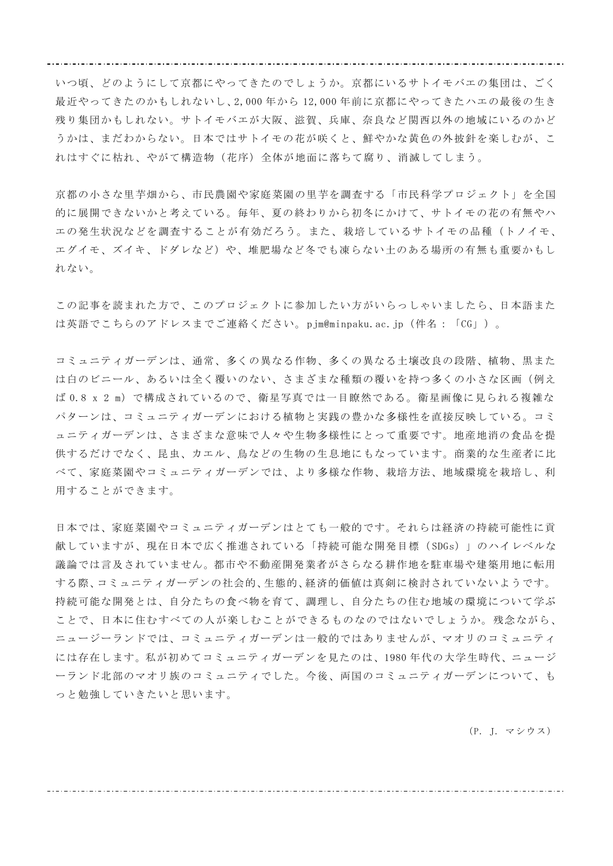いつ頃、どのようにして京都にやってきたのでしょうか。京都にいるサトイモバエの集団は、ごく 最近やってきたのかもしれないし、2,000 年から 12,000 年前に京都にやってきたハエの最後の生き 残り集団かもしれない。サトイモバエが大阪、滋賀、兵庫、奈良など関西以外の地域にいるのかど うかは、まだわからない。日本ではサトイモの花が咲くと、鮮やかな黄色の外披針を楽しむが、こ れはすぐに枯れ、やがて構造物(花序)全体が地面に落ちて腐り、消滅してしまう。

京都の小さな里芋畑から、市民農園や家庭菜園の里芋を調査する「市民科学プロジェクト」を全国 的に展開できないかと考えている。毎年、夏の終わりから初冬にかけて、サトイモの花の有無やハ エの発生状況などを調査することが有効だろう。また、栽培しているサトイモの品種(トノイモ、 エグイモ、ズイキ、ドダレなど)や、堆肥場など冬でも凍らない土のある場所の有無も重要かもし れない。

この記事を読まれた方で、このプロジェクトに参加したい方がいらっしゃいましたら、日本語また は英語でこちらのアドレスまでご連絡ください。pjm@minpaku.ac.jp(件名:「CG」)。

コミュニティガーデンは、通常、多くの異なる作物、多くの異なる土壌改良の段階、植物、黒また は白のビニール、あるいは全く覆いのない、さまざまな種類の覆いを持つ多くの小さな区画(例え ば 0.8 x 2 m)で構成されているので、衛星写真では一目瞭然である。衛星画像に見られる複雑な パターンは、コミュニティガーデンにおける植物と実践の豊かな多様性を直接反映している。コミ ュニティガーデンは、さまざまな意味で人々や生物多様性にとって重要です。地産地消の食品を提 供するだけでなく、昆虫、カエル、鳥などの生物の生息地にもなっています。商業的な生産者に比 べて、家庭菜園やコミュニティガーデンでは、より多様な作物、栽培方法、地域環境を栽培し、利 用することができます。

日本では、家庭菜園やコミュニティガーデンはとても一般的です。それらは経済の持続可能性に貢 献していますが、現在日本で広く推進されている「持続可能な開発目標( SDGs)」のハイレベルな 議論では言及されていません。都市や不動産開発業者がさらなる耕作地を駐車場や建築用地に転用 する際、コミュニティガーデンの社会的、生態的、経済的価値は真剣に検討されていないようです。 持続可能な開発とは、自分たちの食べ物を育て、調理し、自分たちの住む地域の環境について学ぶ ことで、日本に住むすべての人が楽しむことができるものなのではないでしょうか。残念ながら、 ニュージーランドでは、コミュニティガーデンは一般的ではありませんが、マオリのコミュニティ には存在します。私が初めてコミュニティガーデンを見たのは、1980 年代の大学生時代、ニュージ ーランド北部のマオリ族のコミュニティでした。今後、両国のコミュニティガーデンについて、も っと勉強していきたいと思います。

(P. J. マシウス)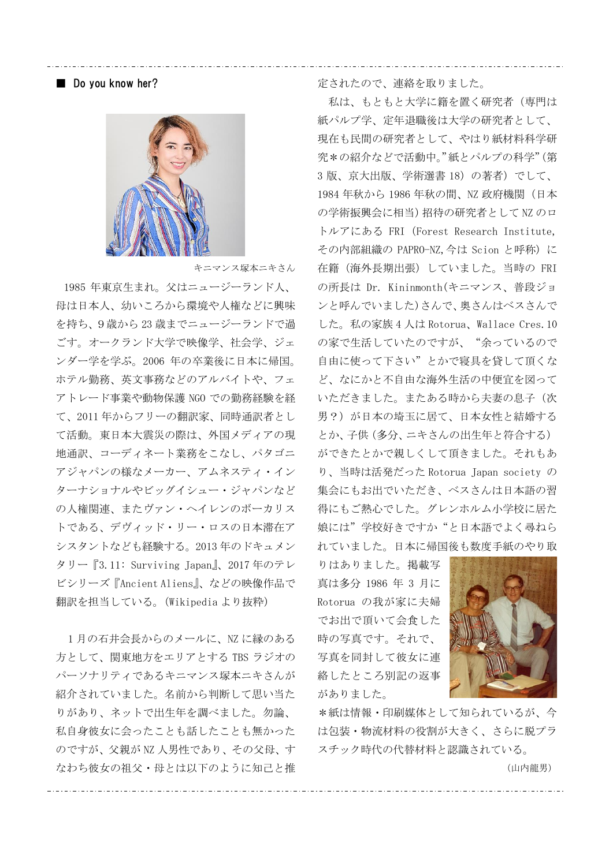### ■ Do you know her?



キニマンス塚本ニキさん

1985 年東京生まれ。父はニュージーランド人、 母は日本人、幼いころから環境や人権などに興味 を持ち、9歳から 23 歳までニュージーランドで過 ごす。オークランド大学で映像学、社会学、ジェ ンダー学を学ぶ。2006 年の卒業後に日本に帰国。 ホテル勤務、英文事務などのアルバイトや、フェ アトレード事業や動物保護 NGO での勤務経験を経 て、2011 年からフリーの翻訳家、同時通訳者とし て活動。東日本大震災の際は、外国メディアの現 地通訳、コーディネート業務をこなし、パタゴニ アジャパンの様なメーカー、アムネスティ・イン ターナショナルやビッグイシュー・ジャパンなど の人権関連、またヴァン・ヘイレンのボーカリス トである、デヴィッド・リー・ロスの日本滞在ア シスタントなども経験する。2013 年のドキュメン タリー『3.11: Surviving Japan』、2017 年のテレ ビシリーズ『Ancient Aliens』、などの映像作品で 翻訳を担当している。(Wikipedia より抜粋)

1月の石井会長からのメールに、NZ に縁のある 方として、関東地方をエリアとする TBS ラジオの パーソナリティであるキニマンス塚本ニキさんが 紹介されていました。名前から判断して思い当た りがあり、ネットで出生年を調べました。勿論、 私自身彼女に会ったことも話したことも無かった のですが、父親が NZ 人男性であり、その父母、す なわち彼女の祖父・母とは以下のように知己と推

定されたので、連絡を取りました。

私は、もともと大学に籍を置く研究者(専門は 紙パルプ学、定年退職後は大学の研究者として、 現在も民間の研究者として、やはり紙材料科学研 究\*の紹介などで活動中。"紙とパルプの科学"(第 3 版、京大出版、学術選書 18)の著者)でして、 1984 年秋から 1986 年秋の間、NZ 政府機関(日本 の学術振興会に相当)招待の研究者として NZ のロ トルアにある FRI(Forest Research Institute, その内部組織の PAPRO-NZ, 今は Scion と呼称)に 在籍(海外長期出張)していました。当時の FRI の所長は Dr. Kininmonth(キニマンス、普段ジョ ンと呼んでいました)さんで、奥さんはベスさんで した。私の家族 4 人は Rotorua、Wallace Cres.10 の家で生活していたのですが、"余っているので 自由に使って下さい"とかで寝具を貸して頂くな ど、なにかと不自由な海外生活の中便宜を図って いただきました。またある時から夫妻の息子(次 男?)が日本の埼玉に居て、日本女性と結婚する とか、子供(多分、ニキさんの出生年と符合する) ができたとかで親しくして頂きました。それもあ り、当時は活発だった Rotorua Japan society の 集会にもお出でいただき、ベスさんは日本語の習 得にもご熱心でした。グレンホルム小学校に居た 娘には"学校好きですか"と日本語でよく尋ねら れていました。日本に帰国後も数度手紙のやり取

りはありました。掲載写 真は多分 1986 年 3 月に Rotorua の我が家に夫婦 でお出で頂いて会食した 時の写真です。それで、 写真を同封して彼女に連 絡したところ別記の返事 がありました。



\*紙は情報・印刷媒体として知られているが、今 は包装・物流材料の役割が大きく、さらに脱プラ スチック時代の代替材料と認識されている。

(山内龍男)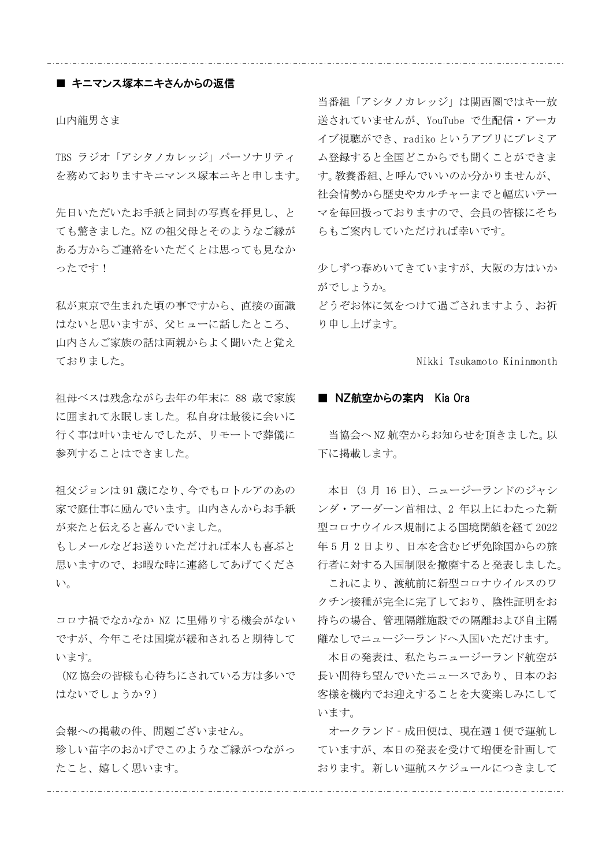# ■ キニマンス塚本ニキさんからの返信

山内龍男さま

TBS ラジオ「アシタノカレッジ」パーソナリティ を務めておりますキニマンス塚本ニキと申します。

先日いただいたお手紙と同封の写真を拝見し、と ても驚きました。NZ の祖父母とそのようなご縁が ある方からご連絡をいただくとは思っても見なか ったです!

私が東京で生まれた頃の事ですから、直接の面識 はないと思いますが、父ヒューに話したところ、 山内さんご家族の話は両親からよく聞いたと覚え ておりました。

祖母ベスは残念ながら去年の年末に 88 歳で家族 に囲まれて永眠しました。私自身は最後に会いに 行く事は叶いませんでしたが、リモートで葬儀に 参列することはできました。

祖父ジョンは 91 歳になり、今でもロトルアのあの 家で庭仕事に励んでいます。山内さんからお手紙 が来たと伝えると喜んでいました。

もしメールなどお送りいただければ本人も喜ぶと 思いますので、お暇な時に連絡してあげてくださ い。

コロナ禍でなかなか NZ に里帰りする機会がない ですが、今年こそは国境が緩和されると期待して います。

(NZ 協会の皆様も心待ちにされている方は多いで はないでしょうか?)

会報への掲載の件、問題ございません。 珍しい苗字のおかげでこのようなご縁がつながっ たこと、嬉しく思います。

当番組「アシタノカレッジ」は関西圏ではキー放 送されていませんが、YouTube で生配信・アーカ イブ視聴ができ、radiko というアプリにプレミア ム登録すると全国どこからでも聞くことができま す。教養番組、と呼んでいいのか分かりませんが、 社会情勢から歴史やカルチャーまでと幅広いテー マを毎回扱っておりますので、会員の皆様にそち らもご案内していただければ幸いです。

少しずつ春めいてきていますが、大阪の方はいか がでしょうか。

どうぞお体に気をつけて過ごされますよう、お祈 り申し上げます。

Nikki Tsukamoto Kininmonth

#### ■ NZ航空からの案内 Kia Ora

当協会へ NZ 航空からお知らせを頂きました。以 下に掲載します。

本日(3 月 16 日)、ニュージーランドのジャシ ンダ・アーダーン首相は、2 年以上にわたった新 型コロナウイルス規制による国境閉鎖を経て 2022 年 5 月 2 日より、日本を含むビザ免除国からの旅 行者に対する入国制限を撤廃すると発表しました。

これにより、渡航前に新型コロナウイルスのワ クチン接種が完全に完了しており、陰性証明をお 持ちの場合、管理隔離施設での隔離および自主隔 離なしでニュージーランドへ入国いただけます。

本日の発表は、私たちニュージーランド航空が 長い間待ち望んでいたニュースであり、日本のお 客様を機内でお迎えすることを大変楽しみにして います。

オークランド‐成田便は、現在週1便で運航し ていますが、本日の発表を受けて増便を計画して おります。新しい運航スケジュールにつきまして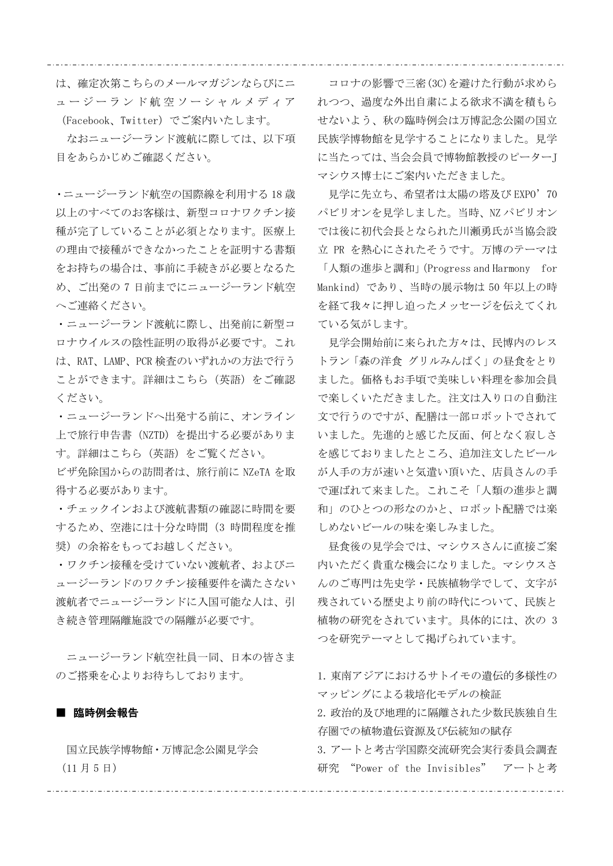は、確定次第こちらのメールマガジンならびにニ ュ ー ジ ー ラ ン ド 航 空 ソ ー シ ャ ル メ デ ィ ア

(Facebook、Twitter)でご案内いたします。 なおニュージーランド渡航に際しては、以下項 目をあらかじめご確認ください。

・ニュージーランド航空の国際線を利用する 18 歳 以上のすべてのお客様は、新型コロナワクチン接 種が完了していることが必須となります。医療上 の理由で接種ができなかったことを証明する書類 をお持ちの場合は、事前に手続きが必要となるた め、ご出発の 7 日前までにニュージーランド航空 へご連絡ください。

・ニュージーランド渡航に際し、出発前に新型コ ロナウイルスの陰性証明の取得が必要です。これ は、RAT、LAMP、PCR 検査のいずれかの方法で行う ことができます。詳細はこちら(英語)をご確認 ください。

・ニュージーランドへ出発する前に、オンライン 上で旅行申告書(NZTD)を提出する必要がありま す。詳細はこちら(英語)をご覧ください。

ビザ免除国からの訪問者は、旅行前に NZeTA を取 得する必要があります。

・チェックインおよび渡航書類の確認に時間を要 するため、空港には十分な時間(3 時間程度を推 奨)の余裕をもってお越しください。

・ワクチン接種を受けていない渡航者、およびニ ュージーランドのワクチン接種要件を満たさない 渡航者でニュージーランドに入国可能な人は、引 き続き管理隔離施設での隔離が必要です。

ニュージーランド航空社員一同、日本の皆さま のご搭乗を心よりお待ちしております。

## ■ 臨時例会報告

国立民族学博物館・万博記念公園見学会 (11 月 5 日)

コロナの影響で三密(3C)を避けた行動が求めら れつつ、過度な外出自粛による欲求不満を積もら せないよう、秋の臨時例会は万博記念公園の国立 民族学博物館を見学することになりました。見学 に当たっては、当会会員で博物館教授のピーターJ マシウス博士にご案内いただきました。

見学に先立ち、希望者は太陽の塔及び EXPO'70 パビリオンを見学しました。当時、NZ パビリオン では後に初代会長となられた川瀬勇氏が当協会設 立 PR を熱心にされたそうです。万博のテーマは 「人類の進歩と調和」(Progress and Harmony for Mankind)であり、当時の展示物は 50 年以上の時 を経て我々に押し迫ったメッセージを伝えてくれ ている気がします。

見学会開始前に来られた方々は、民博内のレス トラン「森の洋食 グリルみんぱく」の昼食をとり ました。価格もお手頃で美味しい料理を参加会員 で楽しくいただきました。注文は入り口の自動注 文で行うのですが、配膳は一部ロボットでされて いました。先進的と感じた反面、何となく寂しさ を感じておりましたところ、追加注文したビール が人手の方が速いと気遣い頂いた、店員さんの手 で運ばれて来ました。これこそ「人類の進歩と調 和」のひとつの形なのかと、ロボット配膳では楽 しめないビールの味を楽しみました。

昼食後の見学会では、マシウスさんに直接ご案 内いただく貴重な機会になりました。マシウスさ んのご専門は先史学・民族植物学でして、文字が 残されている歴史より前の時代について、民族と 植物の研究をされています。具体的には、次の 3 つを研究テーマとして掲げられています。

1.東南アジアにおけるサトイモの遺伝的多様性の マッピングによる栽培化モデルの検証 2. 政治的及び地理的に隔離された少数民族独自生 存圏での植物遺伝資源及び伝統知の賦存 3.アートと考古学国際交流研究会実行委員会調査 研究 "Power of the Invisibles" アートと考